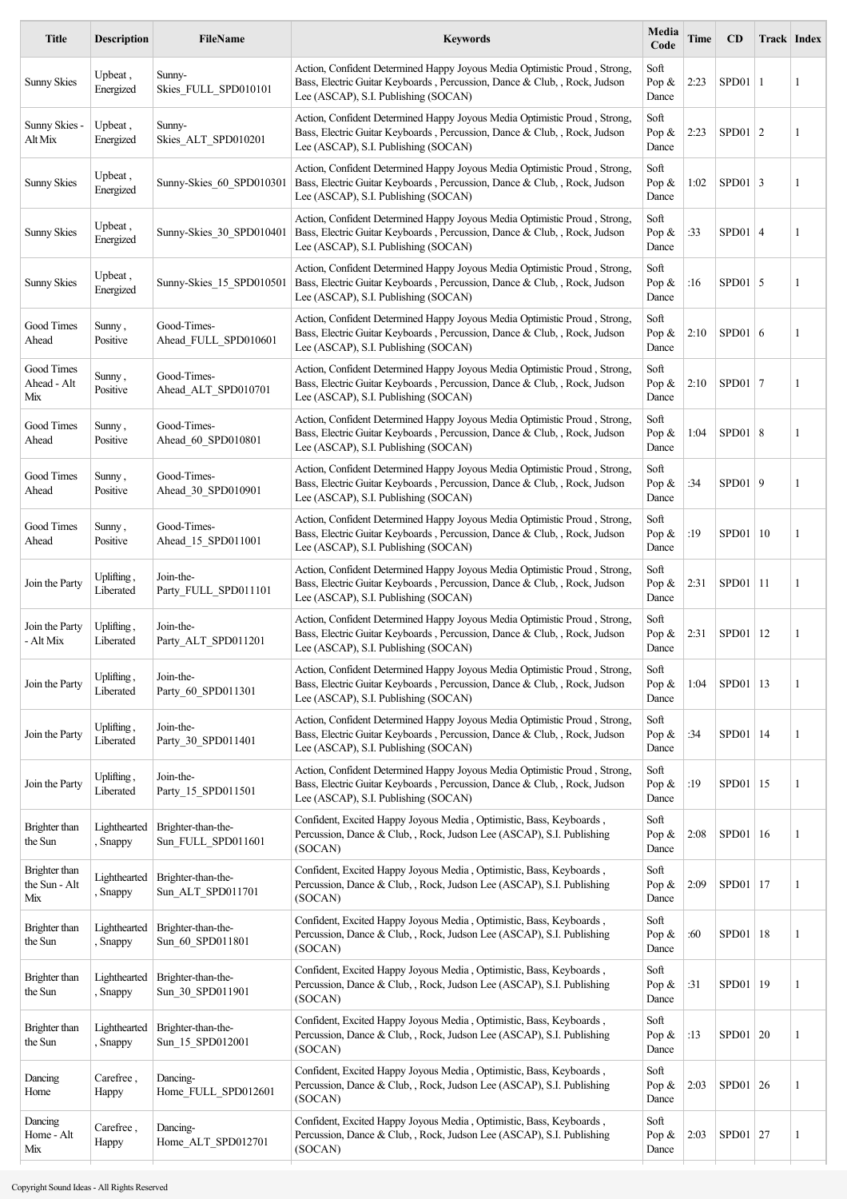| <b>Title</b>                          | <b>Description</b>       | <b>FileName</b>                          | <b>Keywords</b>                                                                                                                                                                                | Media<br>Code             | <b>Time</b> | CD             | <b>Track Index</b> |   |
|---------------------------------------|--------------------------|------------------------------------------|------------------------------------------------------------------------------------------------------------------------------------------------------------------------------------------------|---------------------------|-------------|----------------|--------------------|---|
| <b>Sunny Skies</b>                    | Upbeat,<br>Energized     | Sunny-<br>Skies_FULL_SPD010101           | Action, Confident Determined Happy Joyous Media Optimistic Proud, Strong,<br>Bass, Electric Guitar Keyboards, Percussion, Dance & Club, , Rock, Judson<br>Lee (ASCAP), S.I. Publishing (SOCAN) | Soft<br>Pop &<br>Dance    | 2:23        | SPD01          | -1                 | 1 |
| Sunny Skies -<br>Alt Mix              | Upbeat,<br>Energized     | Sunny-<br>Skies_ALT_SPD010201            | Action, Confident Determined Happy Joyous Media Optimistic Proud, Strong,<br>Bass, Electric Guitar Keyboards, Percussion, Dance & Club, , Rock, Judson<br>Lee (ASCAP), S.I. Publishing (SOCAN) | Soft<br>Pop &<br>Dance    | 2:23        | $SPD01$   2    |                    | 1 |
| <b>Sunny Skies</b>                    | Upbeat,<br>Energized     | Sunny-Skies_60_SPD010301                 | Action, Confident Determined Happy Joyous Media Optimistic Proud, Strong,<br>Bass, Electric Guitar Keyboards, Percussion, Dance & Club, , Rock, Judson<br>Lee (ASCAP), S.I. Publishing (SOCAN) | Soft<br>Pop &<br>Dance    | 1:02        | $SPD01 \mid 3$ |                    | 1 |
| <b>Sunny Skies</b>                    | Upbeat,<br>Energized     | Sunny-Skies_30_SPD010401                 | Action, Confident Determined Happy Joyous Media Optimistic Proud, Strong,<br>Bass, Electric Guitar Keyboards, Percussion, Dance & Club, , Rock, Judson<br>Lee (ASCAP), S.I. Publishing (SOCAN) | Soft<br>Pop &<br>Dance    | :33         | $SPD01$   4    |                    | 1 |
| <b>Sunny Skies</b>                    | Upbeat,<br>Energized     | Sunny-Skies 15 SPD010501                 | Action, Confident Determined Happy Joyous Media Optimistic Proud, Strong,<br>Bass, Electric Guitar Keyboards, Percussion, Dance & Club, , Rock, Judson<br>Lee (ASCAP), S.I. Publishing (SOCAN) | Soft<br>Pop &<br>Dance    | :16         | $SPD01$ 5      |                    | 1 |
| Good Times<br>Ahead                   | Sunny,<br>Positive       | Good-Times-<br>Ahead FULL SPD010601      | Action, Confident Determined Happy Joyous Media Optimistic Proud, Strong,<br>Bass, Electric Guitar Keyboards, Percussion, Dance & Club, , Rock, Judson<br>Lee (ASCAP), S.I. Publishing (SOCAN) | Soft<br>Pop $\&$<br>Dance | 2:10        | SPD01 6        |                    | 1 |
| Good Times<br>Ahead - Alt<br>Mix      | Sunny,<br>Positive       | Good-Times-<br>Ahead ALT SPD010701       | Action, Confident Determined Happy Joyous Media Optimistic Proud, Strong,<br>Bass, Electric Guitar Keyboards, Percussion, Dance & Club, , Rock, Judson<br>Lee (ASCAP), S.I. Publishing (SOCAN) | Soft<br>Pop &<br>Dance    | 2:10        | $SPD01$   7    |                    | 1 |
| Good Times<br>Ahead                   | Sunny,<br>Positive       | Good-Times-<br>Ahead 60 SPD010801        | Action, Confident Determined Happy Joyous Media Optimistic Proud, Strong,<br>Bass, Electric Guitar Keyboards, Percussion, Dance & Club, , Rock, Judson<br>Lee (ASCAP), S.I. Publishing (SOCAN) | Soft<br>Pop $\&$<br>Dance | 1:04        | SPD01 8        |                    | 1 |
| Good Times<br>Ahead                   | Sunny,<br>Positive       | Good-Times-<br>Ahead 30 SPD010901        | Action, Confident Determined Happy Joyous Media Optimistic Proud, Strong,<br>Bass, Electric Guitar Keyboards, Percussion, Dance & Club, , Rock, Judson<br>Lee (ASCAP), S.I. Publishing (SOCAN) | Soft<br>Pop &<br>Dance    | :34         | SPD01   9      |                    | 1 |
| Good Times<br>Ahead                   | Sunny,<br>Positive       | Good-Times-<br>Ahead 15 SPD011001        | Action, Confident Determined Happy Joyous Media Optimistic Proud, Strong,<br>Bass, Electric Guitar Keyboards, Percussion, Dance & Club, , Rock, Judson<br>Lee (ASCAP), S.I. Publishing (SOCAN) | Soft<br>Pop &<br>Dance    | :19         | SPD01   10     |                    | 1 |
| Join the Party                        | Uplifting,<br>Liberated  | Join-the-<br>Party FULL SPD011101        | Action, Confident Determined Happy Joyous Media Optimistic Proud, Strong,<br>Bass, Electric Guitar Keyboards, Percussion, Dance & Club, , Rock, Judson<br>Lee (ASCAP), S.I. Publishing (SOCAN) | Soft<br>Pop &<br>Dance    | 2:31        | SPD01          | -11                | 1 |
| Join the Party<br>- Alt Mix           | Uplifting,<br>Liberated  | Join-the-<br>Party ALT SPD011201         | Action, Confident Determined Happy Joyous Media Optimistic Proud, Strong,<br>Bass, Electric Guitar Keyboards, Percussion, Dance & Club, , Rock, Judson<br>Lee (ASCAP), S.I. Publishing (SOCAN) | Soft<br>Pop &<br>Dance    | 2:31        | SPD01          | 12                 | 1 |
| Join the Party                        | Uplifting,<br>Liberated  | Join-the-<br>Party_60_SPD011301          | Action, Confident Determined Happy Joyous Media Optimistic Proud, Strong,<br>Bass, Electric Guitar Keyboards, Percussion, Dance & Club, , Rock, Judson<br>Lee (ASCAP), S.I. Publishing (SOCAN) | Soft<br>Pop &<br>Dance    | 1:04        | $SPD01$   13   |                    | 1 |
| Join the Party                        | Uplifting,<br>Liberated  | Join-the-<br>Party 30 SPD011401          | Action, Confident Determined Happy Joyous Media Optimistic Proud, Strong,<br>Bass, Electric Guitar Keyboards, Percussion, Dance & Club, , Rock, Judson<br>Lee (ASCAP), S.I. Publishing (SOCAN) | Soft<br>Pop &<br>Dance    | :34         | SPD01   14     |                    | 1 |
| Join the Party                        | Uplifting,<br>Liberated  | Join-the-<br>Party_15_SPD011501          | Action, Confident Determined Happy Joyous Media Optimistic Proud, Strong,<br>Bass, Electric Guitar Keyboards, Percussion, Dance & Club, , Rock, Judson<br>Lee (ASCAP), S.I. Publishing (SOCAN) | Soft<br>Pop &<br>Dance    | :19         | SPD01   15     |                    | 1 |
| Brighter than<br>the Sun              | Lighthearted<br>, Snappy | Brighter-than-the-<br>Sun FULL SPD011601 | Confident, Excited Happy Joyous Media, Optimistic, Bass, Keyboards,<br>Percussion, Dance & Club, , Rock, Judson Lee (ASCAP), S.I. Publishing<br>(SOCAN)                                        | Soft<br>Pop &<br>Dance    | 2:08        | $SPD01$   16   |                    | 1 |
| Brighter than<br>the Sun - Alt<br>Mix | Lighthearted<br>, Snappy | Brighter-than-the-<br>Sun_ALT_SPD011701  | Confident, Excited Happy Joyous Media, Optimistic, Bass, Keyboards,<br>Percussion, Dance & Club, , Rock, Judson Lee (ASCAP), S.I. Publishing<br>(SOCAN)                                        | Soft<br>Pop &<br>Dance    | 2:09        | SPD01   17     |                    | 1 |
| Brighter than<br>the Sun              | Lighthearted<br>, Snappy | Brighter-than-the-<br>Sun 60 SPD011801   | Confident, Excited Happy Joyous Media, Optimistic, Bass, Keyboards,<br>Percussion, Dance & Club, , Rock, Judson Lee (ASCAP), S.I. Publishing<br>(SOCAN)                                        | Soft<br>Pop &<br>Dance    | :60         | SPD01   18     |                    | 1 |
| Brighter than<br>the Sun              | Lighthearted<br>, Snappy | Brighter-than-the-<br>Sun 30 SPD011901   | Confident, Excited Happy Joyous Media, Optimistic, Bass, Keyboards,<br>Percussion, Dance & Club, , Rock, Judson Lee (ASCAP), S.I. Publishing<br>(SOCAN)                                        | Soft<br>Pop &<br>Dance    | :31         | SPD01          | 19                 | 1 |
| Brighter than<br>the Sun              | Lighthearted<br>, Snappy | Brighter-than-the-<br>Sun_15_SPD012001   | Confident, Excited Happy Joyous Media, Optimistic, Bass, Keyboards,<br>Percussion, Dance & Club, , Rock, Judson Lee (ASCAP), S.I. Publishing<br>(SOCAN)                                        | Soft<br>Pop &<br>Dance    | :13         | SPD01   20     |                    | 1 |
| Dancing<br>Home                       | Carefree,<br>Happy       | Dancing-<br>Home FULL SPD012601          | Confident, Excited Happy Joyous Media, Optimistic, Bass, Keyboards,<br>Percussion, Dance & Club, , Rock, Judson Lee (ASCAP), S.I. Publishing<br>(SOCAN)                                        | Soft<br>Pop &<br>Dance    | 2:03        | SPD01 $ 26$    |                    | 1 |
| Dancing<br>Home - Alt<br>Mix          | Carefree,<br>Happy       | Dancing-<br>Home_ALT_SPD012701           | Confident, Excited Happy Joyous Media, Optimistic, Bass, Keyboards,<br>Percussion, Dance & Club, , Rock, Judson Lee (ASCAP), S.I. Publishing<br>(SOCAN)                                        | Soft<br>Pop &<br>Dance    | 2:03        | $SPD01$   27   |                    | 1 |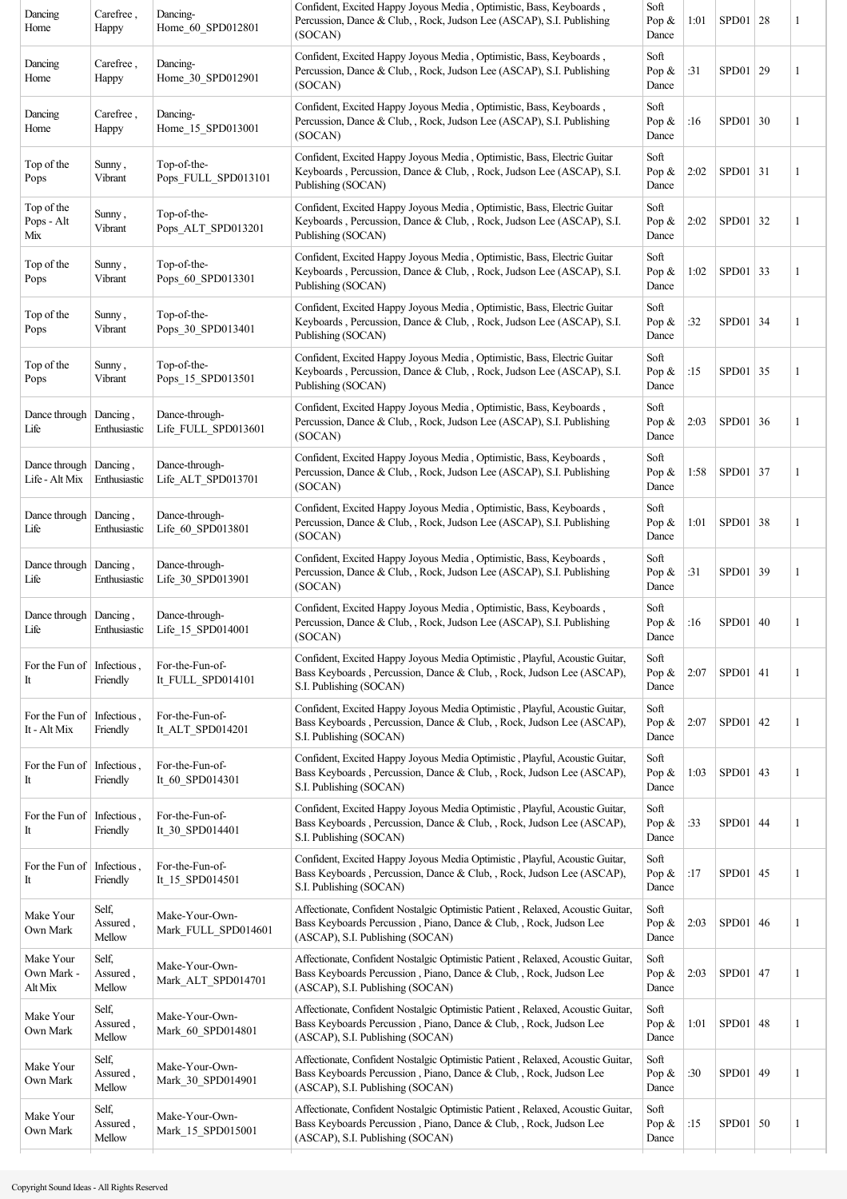| Dancing<br>Home                    | Carefree,<br>Happy          | Dancing-<br>Home 60 SPD012801         | Confident, Excited Happy Joyous Media, Optimistic, Bass, Keyboards,<br>Percussion, Dance & Club, , Rock, Judson Lee (ASCAP), S.I. Publishing<br>(SOCAN)                                   | Soft<br>Pop $\&$<br>Dance | 1:01 | $SPD01$   28 |    | 1            |
|------------------------------------|-----------------------------|---------------------------------------|-------------------------------------------------------------------------------------------------------------------------------------------------------------------------------------------|---------------------------|------|--------------|----|--------------|
| Dancing<br>Home                    | Carefree,<br>Happy          | Dancing-<br>Home_30_SPD012901         | Confident, Excited Happy Joyous Media, Optimistic, Bass, Keyboards,<br>Percussion, Dance & Club, , Rock, Judson Lee (ASCAP), S.I. Publishing<br>(SOCAN)                                   | Soft<br>Pop $\&$<br>Dance | :31  | SPD01   29   |    | 1            |
| Dancing<br>Home                    | Carefree,<br>Happy          | Dancing-<br>Home_15_SPD013001         | Confident, Excited Happy Joyous Media, Optimistic, Bass, Keyboards,<br>Percussion, Dance & Club, , Rock, Judson Lee (ASCAP), S.I. Publishing<br>(SOCAN)                                   | Soft<br>Pop $\&$<br>Dance | :16  | $SPD01$ 30   |    | 1            |
| Top of the<br>Pops                 | Sunny,<br>Vibrant           | Top-of-the-<br>Pops FULL SPD013101    | Confident, Excited Happy Joyous Media, Optimistic, Bass, Electric Guitar<br>Keyboards, Percussion, Dance & Club, , Rock, Judson Lee (ASCAP), S.I.<br>Publishing (SOCAN)                   | Soft<br>Pop $\&$<br>Dance | 2:02 | $SPD01$ 31   |    | 1            |
| Top of the<br>Pops - Alt<br>Mix    | Sunny,<br>Vibrant           | Top-of-the-<br>Pops ALT SPD013201     | Confident, Excited Happy Joyous Media, Optimistic, Bass, Electric Guitar<br>Keyboards, Percussion, Dance & Club, , Rock, Judson Lee (ASCAP), S.I.<br>Publishing (SOCAN)                   | Soft<br>Pop $\&$<br>Dance | 2:02 | $SPD01$ 32   |    | 1            |
| Top of the<br>Pops                 | Sunny,<br>Vibrant           | Top-of-the-<br>Pops 60 SPD013301      | Confident, Excited Happy Joyous Media, Optimistic, Bass, Electric Guitar<br>Keyboards, Percussion, Dance & Club, , Rock, Judson Lee (ASCAP), S.I.<br>Publishing (SOCAN)                   | Soft<br>Pop $\&$<br>Dance | 1:02 | $SPD01$ 33   |    | 1            |
| Top of the<br>Pops                 | Sunny,<br>Vibrant           | Top-of-the-<br>Pops 30 SPD013401      | Confident, Excited Happy Joyous Media, Optimistic, Bass, Electric Guitar<br>Keyboards, Percussion, Dance & Club, , Rock, Judson Lee (ASCAP), S.I.<br>Publishing (SOCAN)                   | Soft<br>Pop $\&$<br>Dance | :32  | $SPD01$ 34   |    | 1            |
| Top of the<br>Pops                 | Sunny,<br>Vibrant           | Top-of-the-<br>Pops 15 SPD013501      | Confident, Excited Happy Joyous Media, Optimistic, Bass, Electric Guitar<br>Keyboards, Percussion, Dance & Club, , Rock, Judson Lee (ASCAP), S.I.<br>Publishing (SOCAN)                   | Soft<br>Pop $\&$<br>Dance | :15  | $SPD01$ 35   |    | 1            |
| Dance through<br>Life              | Dancing,<br>Enthusiastic    | Dance-through-<br>Life FULL SPD013601 | Confident, Excited Happy Joyous Media, Optimistic, Bass, Keyboards,<br>Percussion, Dance & Club, , Rock, Judson Lee (ASCAP), S.I. Publishing<br>(SOCAN)                                   | Soft<br>Pop $\&$<br>Dance | 2:03 | $SPD01$ 36   |    | 1            |
| Dance through<br>Life - Alt Mix    | Dancing,<br>Enthusiastic    | Dance-through-<br>Life_ALT_SPD013701  | Confident, Excited Happy Joyous Media, Optimistic, Bass, Keyboards,<br>Percussion, Dance & Club, , Rock, Judson Lee (ASCAP), S.I. Publishing<br>(SOCAN)                                   | Soft<br>Pop $\&$<br>Dance | 1:58 | SPD01 37     |    | 1            |
| Dance through<br>Life              | Dancing,<br>Enthusiastic    | Dance-through-<br>Life 60 SPD013801   | Confident, Excited Happy Joyous Media, Optimistic, Bass, Keyboards,<br>Percussion, Dance & Club, , Rock, Judson Lee (ASCAP), S.I. Publishing<br>(SOCAN)                                   | Soft<br>Pop $\&$<br>Dance | 1:01 | $SPD01$ 38   |    | 1            |
| Dance through<br>Life              | Dancing,<br>Enthusiastic    | Dance-through-<br>Life 30 SPD013901   | Confident, Excited Happy Joyous Media, Optimistic, Bass, Keyboards,<br>Percussion, Dance & Club, , Rock, Judson Lee (ASCAP), S.I. Publishing<br>(SOCAN)                                   | Soft<br>Pop $\&$<br>Dance | :31  | SPD01 39     |    | 1            |
| Dance through<br>Life              | Dancing,<br>Enthusiastic    | Dance-through-<br>Life_15_SPD014001   | Confident, Excited Happy Joyous Media, Optimistic, Bass, Keyboards,<br>Percussion, Dance & Club, , Rock, Judson Lee (ASCAP), S.I. Publishing<br>(SOCAN)                                   | Soft<br>Pop $\&$<br>Dance | :16  | SPD01   40   |    | 1            |
| For the Fun of<br>It               | Infectious,<br>Friendly     | For-the-Fun-of-<br>It_FULL_SPD014101  | Confident, Excited Happy Joyous Media Optimistic, Playful, Acoustic Guitar,<br>Bass Keyboards, Percussion, Dance & Club, , Rock, Judson Lee (ASCAP),<br>S.I. Publishing (SOCAN)           | Soft<br>Pop &<br>Dance    | 2:07 | $SPD01$ 41   |    | 1            |
| For the Fun of<br>It - Alt Mix     | Infectious,<br>Friendly     | For-the-Fun-of-<br>It_ALT_SPD014201   | Confident, Excited Happy Joyous Media Optimistic, Playful, Acoustic Guitar,<br>Bass Keyboards, Percussion, Dance & Club, , Rock, Judson Lee (ASCAP),<br>S.I. Publishing (SOCAN)           | Soft<br>Pop $\&$<br>Dance | 2:07 | $SPD01$ 42   |    | 1            |
| For the Fun of<br>It               | Infectious,<br>Friendly     | For-the-Fun-of-<br>It 60 SPD014301    | Confident, Excited Happy Joyous Media Optimistic, Playful, Acoustic Guitar,<br>Bass Keyboards, Percussion, Dance & Club, , Rock, Judson Lee (ASCAP),<br>S.I. Publishing (SOCAN)           | Soft<br>Pop &<br>Dance    | 1:03 | SPD01 $ 43$  |    | 1            |
| For the Fun of<br>It               | Infectious,<br>Friendly     | For-the-Fun-of-<br>It 30 SPD014401    | Confident, Excited Happy Joyous Media Optimistic, Playful, Acoustic Guitar,<br>Bass Keyboards, Percussion, Dance & Club, , Rock, Judson Lee (ASCAP),<br>S.I. Publishing (SOCAN)           | Soft<br>Pop $\&$<br>Dance | :33  | $SPD01$ 44   |    | 1            |
| For the Fun of<br>It               | Infectious,<br>Friendly     | For-the-Fun-of-<br>It 15 SPD014501    | Confident, Excited Happy Joyous Media Optimistic, Playful, Acoustic Guitar,<br>Bass Keyboards, Percussion, Dance & Club, , Rock, Judson Lee (ASCAP),<br>S.I. Publishing (SOCAN)           | Soft<br>Pop $\&$<br>Dance | :17  | SPD01        | 45 | 1            |
| Make Your<br>Own Mark              | Self,<br>Assured,<br>Mellow | Make-Your-Own-<br>Mark_FULL_SPD014601 | Affectionate, Confident Nostalgic Optimistic Patient, Relaxed, Acoustic Guitar,<br>Bass Keyboards Percussion, Piano, Dance & Club, , Rock, Judson Lee<br>(ASCAP), S.I. Publishing (SOCAN) | Soft<br>Pop $\&$<br>Dance | 2:03 | SPD01 46     |    | 1            |
| Make Your<br>Own Mark -<br>Alt Mix | Self,<br>Assured,<br>Mellow | Make-Your-Own-<br>Mark_ALT_SPD014701  | Affectionate, Confident Nostalgic Optimistic Patient, Relaxed, Acoustic Guitar,<br>Bass Keyboards Percussion, Piano, Dance & Club, , Rock, Judson Lee<br>(ASCAP), S.I. Publishing (SOCAN) | Soft<br>Pop &<br>Dance    | 2:03 | SPD01 $ 47$  |    | 1            |
| Make Your<br>Own Mark              | Self,<br>Assured,<br>Mellow | Make-Your-Own-<br>Mark_60_SPD014801   | Affectionate, Confident Nostalgic Optimistic Patient, Relaxed, Acoustic Guitar,<br>Bass Keyboards Percussion, Piano, Dance & Club,, Rock, Judson Lee<br>(ASCAP), S.I. Publishing (SOCAN)  | Soft<br>Pop $\&$<br>Dance | 1:01 | SPD01        | 48 | 1            |
| Make Your<br>Own Mark              | Self,<br>Assured,<br>Mellow | Make-Your-Own-<br>Mark 30 SPD014901   | Affectionate, Confident Nostalgic Optimistic Patient, Relaxed, Acoustic Guitar,<br>Bass Keyboards Percussion, Piano, Dance & Club,, Rock, Judson Lee<br>(ASCAP), S.I. Publishing (SOCAN)  | Soft<br>Pop $\&$<br>Dance | :30  | SPD01        | 49 | $\mathbf{1}$ |
| Make Your<br>Own Mark              | Self,<br>Assured,<br>Mellow | Make-Your-Own-<br>Mark_15_SPD015001   | Affectionate, Confident Nostalgic Optimistic Patient, Relaxed, Acoustic Guitar,<br>Bass Keyboards Percussion, Piano, Dance & Club, , Rock, Judson Lee<br>(ASCAP), S.I. Publishing (SOCAN) | Soft<br>Pop $\&$<br>Dance | :15  | SPD01        | 50 | 1            |
|                                    |                             |                                       |                                                                                                                                                                                           |                           |      |              |    |              |